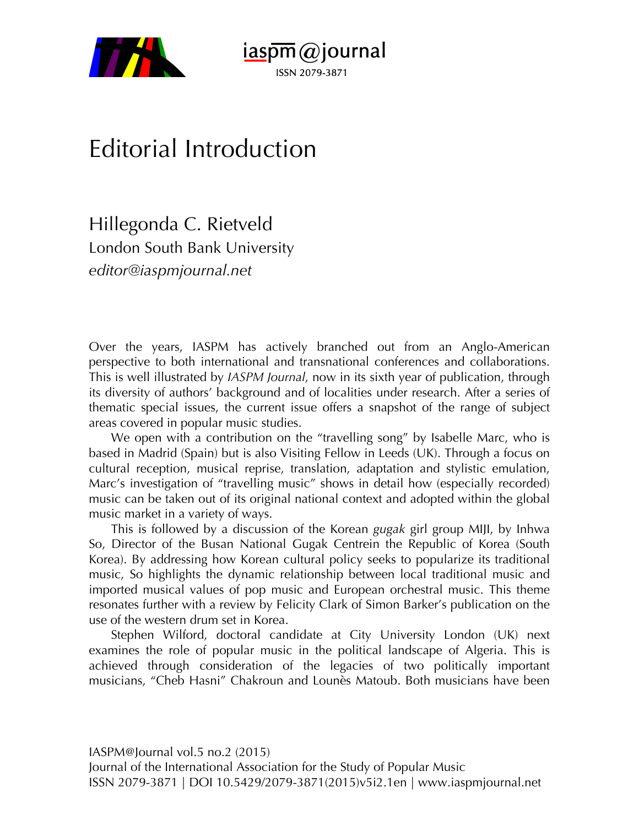



## Editorial Introduction

Hillegonda C. Rietveld London South Bank University *editor@iaspmjournal.net*

Over the years, IASPM has actively branched out from an Anglo-American perspective to both international and transnational conferences and collaborations. This is well illustrated by *IASPM Journal*, now in its sixth year of publication, through its diversity of authors' background and of localities under research. After a series of thematic special issues, the current issue offers a snapshot of the range of subject areas covered in popular music studies.

We open with a contribution on the "travelling song" by Isabelle Marc, who is based in Madrid (Spain) but is also Visiting Fellow in Leeds (UK). Through a focus on cultural reception, musical reprise, translation, adaptation and stylistic emulation, Marc's investigation of "travelling music" shows in detail how (especially recorded) music can be taken out of its original national context and adopted within the global music market in a variety of ways.

This is followed by a discussion of the Korean *gugak* girl group MIJI, by Inhwa So, Director of the Busan National Gugak Centrein the Republic of Korea (South Korea). By addressing how Korean cultural policy seeks to popularize its traditional music, So highlights the dynamic relationship between local traditional music and imported musical values of pop music and European orchestral music. This theme resonates further with a review by Felicity Clark of Simon Barker's publication on the use of the western drum set in Korea.

Stephen Wilford, doctoral candidate at City University London (UK) next examines the role of popular music in the political landscape of Algeria. This is achieved through consideration of the legacies of two politically important musicians, "Cheb Hasni" Chakroun and Lounès Matoub. Both musicians have been